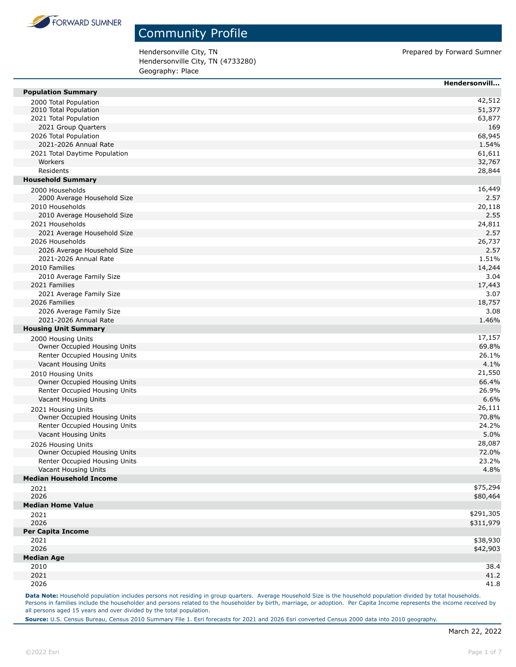

Hendersonville City, TN example 20 and the proportion of the Prepared by Forward Sumner Hendersonville City, TN (4733280) Geography: Place

|                                                       | Hendersonvill    |
|-------------------------------------------------------|------------------|
| <b>Population Summary</b>                             |                  |
| 2000 Total Population                                 | 42,512           |
| 2010 Total Population                                 | 51,377           |
| 2021 Total Population                                 | 63,877           |
| 2021 Group Quarters                                   | 169              |
| 2026 Total Population                                 | 68,945           |
| 2021-2026 Annual Rate                                 | 1.54%            |
| 2021 Total Daytime Population<br>Workers              | 61,611           |
| Residents                                             | 32,767<br>28,844 |
| <b>Household Summary</b>                              |                  |
|                                                       | 16,449           |
| 2000 Households<br>2000 Average Household Size        | 2.57             |
| 2010 Households                                       | 20,118           |
| 2010 Average Household Size                           | 2.55             |
| 2021 Households                                       | 24,811           |
| 2021 Average Household Size                           | 2.57             |
| 2026 Households                                       | 26,737           |
| 2026 Average Household Size                           | 2.57             |
| 2021-2026 Annual Rate                                 | 1.51%            |
| 2010 Families                                         | 14,244           |
| 2010 Average Family Size                              | 3.04             |
| 2021 Families                                         | 17,443           |
| 2021 Average Family Size                              | 3.07             |
| 2026 Families                                         | 18,757           |
| 2026 Average Family Size                              | 3.08             |
| 2021-2026 Annual Rate                                 | 1.46%            |
| <b>Housing Unit Summary</b>                           |                  |
| 2000 Housing Units                                    | 17,157           |
| Owner Occupied Housing Units                          | 69.8%            |
| Renter Occupied Housing Units                         | 26.1%            |
| Vacant Housing Units                                  | 4.1%             |
| 2010 Housing Units                                    | 21,550           |
| Owner Occupied Housing Units                          | 66.4%            |
| Renter Occupied Housing Units                         | 26.9%            |
| Vacant Housing Units                                  | 6.6%             |
| 2021 Housing Units                                    | 26,111           |
| Owner Occupied Housing Units                          | 70.8%            |
| Renter Occupied Housing Units<br>Vacant Housing Units | 24.2%<br>5.0%    |
|                                                       | 28,087           |
| 2026 Housing Units<br>Owner Occupied Housing Units    | 72.0%            |
| Renter Occupied Housing Units                         | 23.2%            |
| Vacant Housing Units                                  | 4.8%             |
| <b>Median Household Income</b>                        |                  |
| 2021                                                  | \$75,294         |
| 2026                                                  | \$80,464         |
| <b>Median Home Value</b>                              |                  |
| 2021                                                  | \$291,305        |
| 2026                                                  | \$311,979        |
| <b>Per Capita Income</b>                              |                  |
| 2021                                                  | \$38,930         |
| 2026                                                  | \$42,903         |
| <b>Median Age</b>                                     |                  |
| 2010                                                  | 38.4             |
| 2021                                                  | 41.2             |
| 2026                                                  | 41.8             |

Data Note: Household population includes persons not residing in group quarters. Average Household Size is the household population divided by total households. Persons in families include the householder and persons related to the householder by birth, marriage, or adoption. Per Capita Income represents the income received by all persons aged 15 years and over divided by the total population.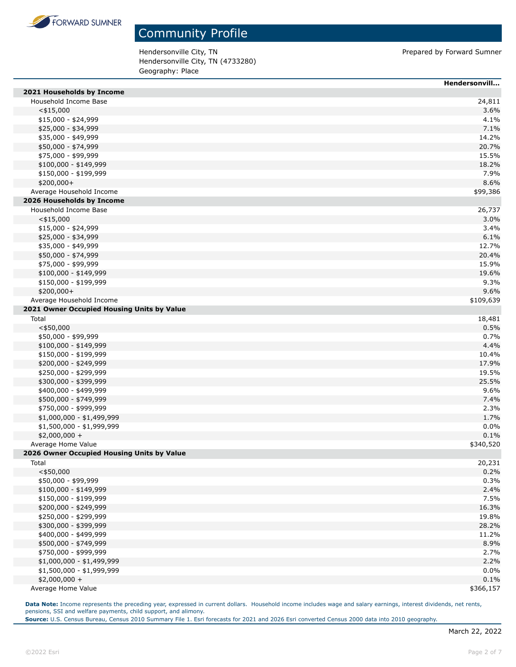

Hendersonville City, TN endersonville City, TN Hendersonville City, TN (4733280) Geography: Place

|                                            | Hendersonvill |
|--------------------------------------------|---------------|
| 2021 Households by Income                  |               |
| Household Income Base                      | 24,811        |
| $<$ \$15,000                               | 3.6%          |
| $$15,000 - $24,999$                        | 4.1%          |
| \$25,000 - \$34,999                        | 7.1%          |
| \$35,000 - \$49,999                        | 14.2%         |
| \$50,000 - \$74,999                        | 20.7%         |
| \$75,000 - \$99,999                        | 15.5%         |
| \$100,000 - \$149,999                      | 18.2%         |
| \$150,000 - \$199,999                      | 7.9%          |
| $$200,000+$                                | 8.6%          |
| Average Household Income                   | \$99,386      |
| 2026 Households by Income                  |               |
| Household Income Base                      | 26,737        |
| $<$ \$15,000                               | 3.0%          |
| $$15,000 - $24,999$                        | 3.4%          |
| \$25,000 - \$34,999                        | 6.1%          |
| \$35,000 - \$49,999                        | 12.7%         |
| \$50,000 - \$74,999                        | 20.4%         |
| \$75,000 - \$99,999                        | 15.9%         |
| $$100,000 - $149,999$                      | 19.6%         |
| \$150,000 - \$199,999                      | 9.3%          |
| \$200,000+                                 | 9.6%          |
| Average Household Income                   | \$109,639     |
| 2021 Owner Occupied Housing Units by Value |               |
| Total                                      | 18,481        |
| $<$ \$50,000                               | 0.5%          |
| \$50,000 - \$99,999                        | 0.7%          |
| \$100,000 - \$149,999                      | 4.4%          |
| \$150,000 - \$199,999                      | 10.4%         |
| \$200,000 - \$249,999                      | 17.9%         |
| \$250,000 - \$299,999                      | 19.5%         |
| \$300,000 - \$399,999                      | 25.5%         |
| \$400,000 - \$499,999                      | 9.6%          |
| \$500,000 - \$749,999                      | 7.4%          |
| \$750,000 - \$999,999                      | 2.3%          |
| \$1,000,000 - \$1,499,999                  | 1.7%          |
| \$1,500,000 - \$1,999,999                  | 0.0%          |
| $$2,000,000 +$                             | 0.1%          |
| Average Home Value                         | \$340,520     |
| 2026 Owner Occupied Housing Units by Value |               |
| Total                                      | 20,231        |
| $<$ \$50,000                               | 0.2%          |
| \$50,000 - \$99,999                        | 0.3%          |
| $$100,000 - $149,999$                      | 2.4%          |
| \$150,000 - \$199,999                      | 7.5%          |
| \$200,000 - \$249,999                      | 16.3%         |
| \$250,000 - \$299,999                      | 19.8%         |
| \$300,000 - \$399,999                      | 28.2%         |
| \$400,000 - \$499,999                      | 11.2%         |
| \$500,000 - \$749,999                      | 8.9%          |
| \$750,000 - \$999,999                      | 2.7%          |
| \$1,000,000 - \$1,499,999                  | 2.2%          |
| \$1,500,000 - \$1,999,999                  | 0.0%          |
| $$2,000,000 +$                             | 0.1%          |
| Average Home Value                         | \$366,157     |

**Data Note:** Income represents the preceding year, expressed in current dollars. Household income includes wage and salary earnings, interest dividends, net rents, pensions, SSI and welfare payments, child support, and alimony.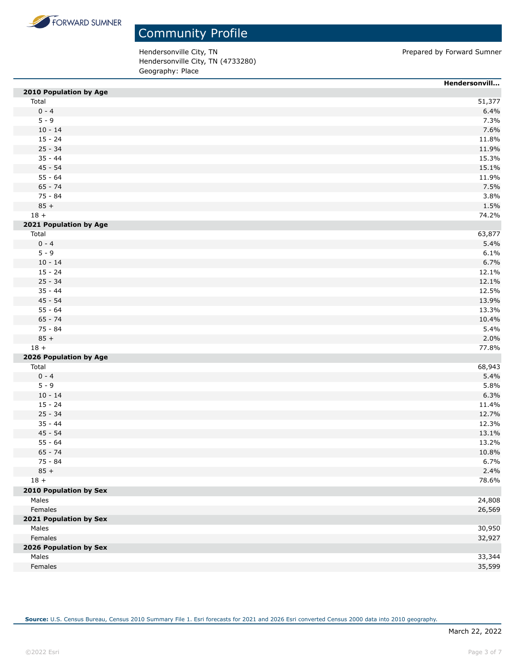

Hendersonville City, TN endersonville City, TN Hendersonville City, TN (4733280) Geography: Place

|                               | Hendersonvill |
|-------------------------------|---------------|
| 2010 Population by Age        |               |
| Total                         | 51,377        |
| $0 - 4$                       | 6.4%          |
| $5 - 9$                       | 7.3%          |
| $10 - 14$                     | 7.6%          |
| $15 - 24$                     | 11.8%         |
| $25 - 34$                     | 11.9%         |
| $35 - 44$                     | 15.3%         |
| $45 - 54$                     | 15.1%         |
| $55 - 64$                     | 11.9%         |
| $65 - 74$                     | 7.5%          |
| $75 - 84$                     | 3.8%          |
| $85 +$                        | 1.5%          |
| $18 +$                        | 74.2%         |
| 2021 Population by Age        |               |
| Total                         | 63,877        |
| $0 - 4$                       | 5.4%          |
| $5 - 9$                       | 6.1%          |
| $10 - 14$                     | 6.7%          |
| $15 - 24$                     | 12.1%         |
| $25 - 34$                     | 12.1%         |
| $35 - 44$                     | 12.5%         |
| $45 - 54$                     | 13.9%         |
| $55 - 64$                     | 13.3%         |
| $65 - 74$                     | 10.4%         |
| 75 - 84                       | 5.4%          |
| $85 +$                        | 2.0%          |
| $18 +$                        | 77.8%         |
| 2026 Population by Age        |               |
| Total                         | 68,943        |
| $0 - 4$                       | 5.4%          |
| $5 - 9$                       | 5.8%          |
| $10 - 14$                     | 6.3%          |
| $15 - 24$                     | 11.4%         |
| $25 - 34$                     | 12.7%         |
| $35 - 44$                     | 12.3%         |
| $45 - 54$                     | 13.1%         |
| $55 - 64$                     | 13.2%         |
| $65 - 74$                     | 10.8%         |
| 75 - 84                       | 6.7%          |
| $85 +$                        | 2.4%          |
| $18 +$                        | 78.6%         |
|                               |               |
| <b>2010 Population by Sex</b> |               |
| Males                         | 24,808        |
| Females                       | 26,569        |
| 2021 Population by Sex        |               |
| Males                         | 30,950        |
| Females                       | 32,927        |
| 2026 Population by Sex        |               |
| Males                         | 33,344        |
| Females                       | 35,599        |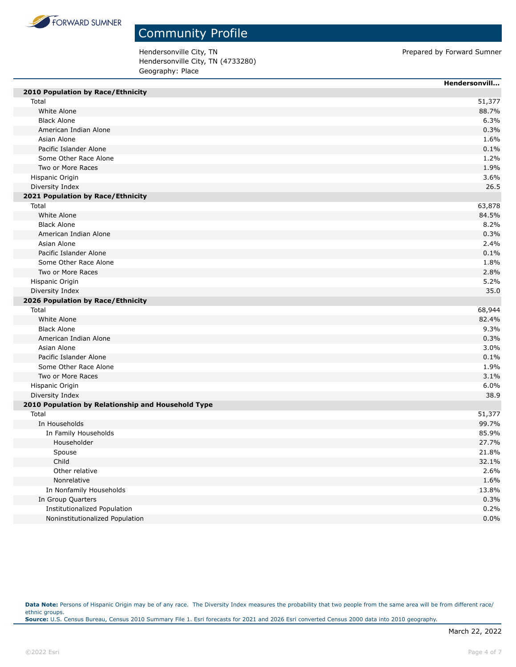

Hendersonville City, TN endersonville City, TN Hendersonville City, TN (4733280) Geography: Place

|                                                          | Hendersonvill |
|----------------------------------------------------------|---------------|
| 2010 Population by Race/Ethnicity                        |               |
| Total                                                    | 51,377        |
| White Alone                                              | 88.7%         |
| <b>Black Alone</b>                                       | 6.3%          |
| American Indian Alone                                    | 0.3%          |
| Asian Alone                                              | 1.6%          |
| Pacific Islander Alone                                   | 0.1%          |
| Some Other Race Alone                                    | 1.2%          |
| Two or More Races                                        | 1.9%          |
| Hispanic Origin                                          | 3.6%          |
| Diversity Index                                          | 26.5          |
| 2021 Population by Race/Ethnicity                        |               |
| Total                                                    | 63,878        |
| White Alone                                              | 84.5%         |
| <b>Black Alone</b>                                       | 8.2%          |
| American Indian Alone                                    | 0.3%          |
| Asian Alone                                              | 2.4%          |
| Pacific Islander Alone                                   | 0.1%          |
| Some Other Race Alone                                    | 1.8%          |
| Two or More Races                                        | 2.8%          |
| Hispanic Origin                                          | 5.2%          |
| Diversity Index                                          | 35.0          |
| 2026 Population by Race/Ethnicity                        |               |
| Total                                                    | 68,944        |
| White Alone                                              | 82.4%         |
| <b>Black Alone</b>                                       | 9.3%          |
| American Indian Alone                                    | 0.3%          |
| Asian Alone                                              | 3.0%          |
| Pacific Islander Alone                                   | 0.1%          |
| Some Other Race Alone                                    | 1.9%          |
| Two or More Races                                        | 3.1%          |
| Hispanic Origin                                          | 6.0%          |
| Diversity Index                                          | 38.9          |
| 2010 Population by Relationship and Household Type       |               |
| Total                                                    | 51,377        |
| In Households                                            | 99.7%         |
| In Family Households                                     | 85.9%         |
| Householder                                              | 27.7%         |
| Spouse                                                   | 21.8%         |
| Child                                                    | 32.1%         |
| Other relative                                           | 2.6%          |
| Nonrelative                                              |               |
|                                                          | 1.6%          |
| In Nonfamily Households                                  | 13.8%         |
| In Group Quarters<br><b>Institutionalized Population</b> | 0.3%          |
|                                                          | 0.2%          |
| Noninstitutionalized Population                          | 0.0%          |

Data Note: Persons of Hispanic Origin may be of any race. The Diversity Index measures the probability that two people from the same area will be from different race/ ethnic groups. **Source:** U.S. Census Bureau, Census 2010 Summary File 1. Esri forecasts for 2021 and 2026 Esri converted Census 2000 data into 2010 geography.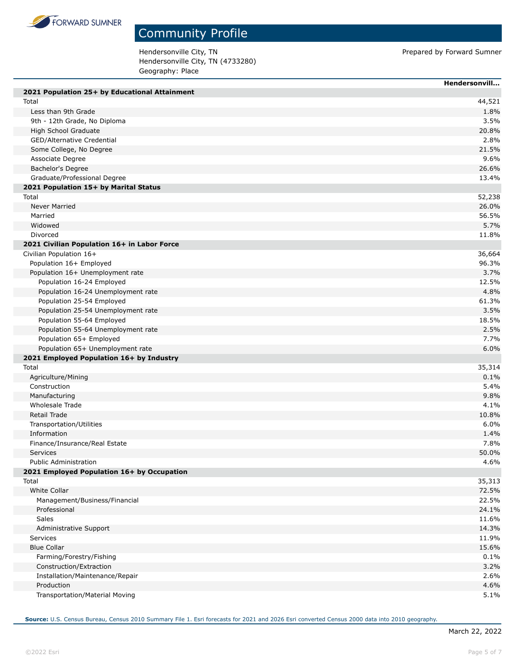

П

### Community Profile

Hendersonville City, TN endersonville City, TN Hendersonville City, TN (4733280) Geography: Place

|                                               | Hendersonvill |
|-----------------------------------------------|---------------|
| 2021 Population 25+ by Educational Attainment |               |
| Total                                         | 44,521        |
| Less than 9th Grade                           | 1.8%          |
| 9th - 12th Grade, No Diploma                  | 3.5%          |
| High School Graduate                          | 20.8%         |
| GED/Alternative Credential                    | 2.8%          |
| Some College, No Degree                       | 21.5%         |
| Associate Degree                              | 9.6%          |
| Bachelor's Degree                             | 26.6%         |
| Graduate/Professional Degree                  | 13.4%         |
| 2021 Population 15+ by Marital Status         |               |
| Total                                         | 52,238        |
| Never Married                                 | 26.0%         |
| Married                                       | 56.5%         |
| Widowed                                       | 5.7%          |
| Divorced                                      | 11.8%         |
| 2021 Civilian Population 16+ in Labor Force   |               |
| Civilian Population 16+                       | 36,664        |
| Population 16+ Employed                       | 96.3%         |
| Population 16+ Unemployment rate              | 3.7%          |
| Population 16-24 Employed                     | 12.5%         |
| Population 16-24 Unemployment rate            | 4.8%          |
| Population 25-54 Employed                     | 61.3%         |
| Population 25-54 Unemployment rate            | 3.5%          |
| Population 55-64 Employed                     | 18.5%         |
| Population 55-64 Unemployment rate            | 2.5%          |
| Population 65+ Employed                       | 7.7%          |
| Population 65+ Unemployment rate              | 6.0%          |
| 2021 Employed Population 16+ by Industry      |               |
| Total                                         | 35,314        |
| Agriculture/Mining                            | 0.1%          |
| Construction                                  | 5.4%          |
| Manufacturing                                 | 9.8%          |
| Wholesale Trade                               | 4.1%          |
| Retail Trade                                  | 10.8%         |
| Transportation/Utilities                      | 6.0%          |
| Information                                   | 1.4%          |
| Finance/Insurance/Real Estate                 | 7.8%          |
| <b>Services</b>                               | 50.0%         |
| <b>Public Administration</b>                  | 4.6%          |
| 2021 Employed Population 16+ by Occupation    |               |
| Total                                         | 35,313        |
| <b>White Collar</b>                           | 72.5%         |
| Management/Business/Financial                 | 22.5%         |
| Professional                                  | 24.1%         |
| Sales                                         | 11.6%         |
| Administrative Support                        | 14.3%         |
| Services                                      | 11.9%         |
| <b>Blue Collar</b>                            | 15.6%         |
| Farming/Forestry/Fishing                      | 0.1%          |
| Construction/Extraction                       | 3.2%          |
| Installation/Maintenance/Repair               | 2.6%          |
| Production                                    | 4.6%          |
| Transportation/Material Moving                | 5.1%          |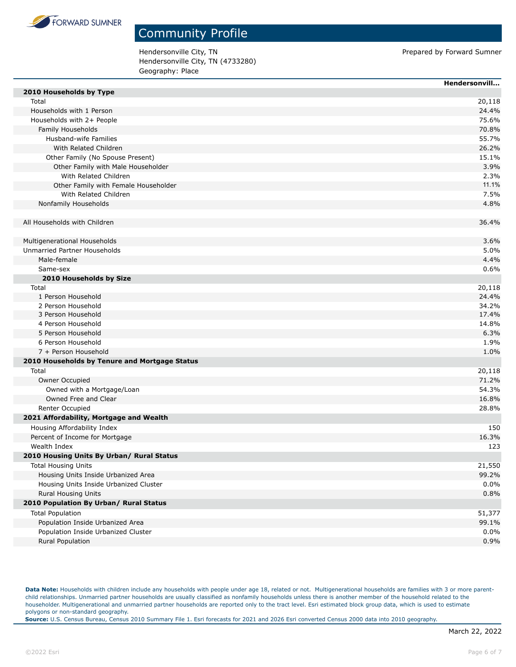

Hendersonville City, TN endersonville City, TN Hendersonville City, TN (4733280) Geography: Place

|                                               | Hendersonvill |
|-----------------------------------------------|---------------|
| 2010 Households by Type                       |               |
| Total                                         | 20,118        |
| Households with 1 Person                      | 24.4%         |
| Households with 2+ People                     | 75.6%         |
| Family Households                             | 70.8%         |
| Husband-wife Families                         | 55.7%         |
| With Related Children                         | 26.2%         |
| Other Family (No Spouse Present)              | 15.1%         |
| Other Family with Male Householder            | 3.9%          |
| With Related Children                         | 2.3%          |
| Other Family with Female Householder          | 11.1%         |
| With Related Children                         | 7.5%          |
| Nonfamily Households                          | 4.8%          |
| All Households with Children                  | 36.4%         |
| Multigenerational Households                  | 3.6%          |
| Unmarried Partner Households                  | 5.0%          |
| Male-female                                   | 4.4%          |
| Same-sex                                      | 0.6%          |
| 2010 Households by Size                       |               |
| Total                                         | 20,118        |
| 1 Person Household                            | 24.4%         |
| 2 Person Household                            | 34.2%         |
| 3 Person Household                            | 17.4%         |
| 4 Person Household                            | 14.8%         |
| 5 Person Household                            | 6.3%          |
| 6 Person Household                            | 1.9%          |
| 7 + Person Household                          | 1.0%          |
| 2010 Households by Tenure and Mortgage Status |               |
| Total                                         | 20,118        |
| Owner Occupied                                | 71.2%         |
| Owned with a Mortgage/Loan                    | 54.3%         |
| Owned Free and Clear                          | 16.8%         |
| Renter Occupied                               | 28.8%         |
| 2021 Affordability, Mortgage and Wealth       |               |
| Housing Affordability Index                   | 150           |
| Percent of Income for Mortgage                | 16.3%         |
| Wealth Index                                  | 123           |
| 2010 Housing Units By Urban/ Rural Status     |               |
| <b>Total Housing Units</b>                    | 21,550        |
| Housing Units Inside Urbanized Area           | 99.2%         |
| Housing Units Inside Urbanized Cluster        | 0.0%          |
| Rural Housing Units                           | 0.8%          |
| 2010 Population By Urban/ Rural Status        |               |
| <b>Total Population</b>                       | 51,377        |
| Population Inside Urbanized Area              | 99.1%         |
| Population Inside Urbanized Cluster           | 0.0%          |
| Rural Population                              | 0.9%          |
|                                               |               |

Data Note: Households with children include any households with people under age 18, related or not. Multigenerational households are families with 3 or more parentchild relationships. Unmarried partner households are usually classified as nonfamily households unless there is another member of the household related to the householder. Multigenerational and unmarried partner households are reported only to the tract level. Esri estimated block group data, which is used to estimate polygons or non-standard geography.